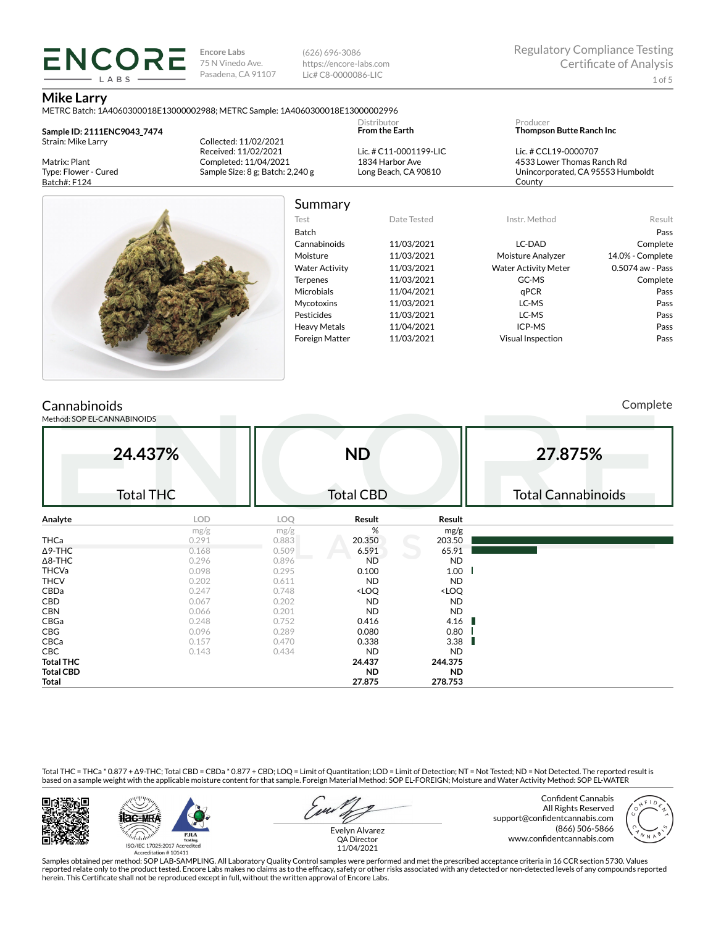(626) 696-3086 https://encore-labs.com Lic# C8-0000086-LIC

#### **Mike Larry**

METRC Batch: 1A4060300018E13000002988; METRC Sample: 1A4060300018E13000002996

**Sample ID: 2111ENC9043\_7474** Strain: Mike Larry

**ENCORE** LABS

Matrix: Plant Type: Flower - Cured Batch#: F124

Collected: 11/02/2021 Received: 11/02/2021 Completed: 11/04/2021 Sample Size: 8 g; Batch: 2,240 g Lic. # C11-0001199-LIC 1834 Harbor Ave Long Beach, CA 90810

Distributor **From the Earth**

| Producer                        |  |  |
|---------------------------------|--|--|
| <b>Thompson Butte Ranch Inc</b> |  |  |

Lic. # CCL19-0000707 4533 Lower Thomas Ranch Rd Unincorporated, CA 95553 Humboldt County



# Summary

| _ _                   |             |                             |                  |
|-----------------------|-------------|-----------------------------|------------------|
| Test                  | Date Tested | Instr. Method               | Result           |
| <b>Batch</b>          |             |                             | Pass             |
| Cannabinoids          | 11/03/2021  | LC-DAD                      | Complete         |
| Moisture              | 11/03/2021  | Moisture Analyzer           | 14.0% - Complete |
| <b>Water Activity</b> | 11/03/2021  | <b>Water Activity Meter</b> | 0.5074 aw - Pass |
| <b>Terpenes</b>       | 11/03/2021  | GC-MS                       | Complete         |
| <b>Microbials</b>     | 11/04/2021  | aPCR                        | Pass             |
| <b>Mycotoxins</b>     | 11/03/2021  | LC-MS                       | Pass             |
| <b>Pesticides</b>     | 11/03/2021  | LC-MS                       | Pass             |
| <b>Heavy Metals</b>   | 11/04/2021  | ICP-MS                      | Pass             |
| <b>Foreign Matter</b> | 11/03/2021  | <b>Visual Inspection</b>    | Pass             |
|                       |             |                             |                  |

# **Cannabinoids**

Method: SOP EL-CANNABINOIDS

Complete

|                  | 24.437%<br><b>Total THC</b> |       | <b>ND</b><br><b>Total CBD</b>                            |                              | 27.875%<br><b>Total Cannabinoids</b> |
|------------------|-----------------------------|-------|----------------------------------------------------------|------------------------------|--------------------------------------|
| Analyte          | <b>LOD</b>                  | LOQ   | Result                                                   | Result                       |                                      |
|                  | mg/g                        | mg/g  | %                                                        | mg/g                         |                                      |
| <b>THCa</b>      | 0.291                       | 0.883 | 20.350                                                   | 203.50                       |                                      |
| $\Delta$ 9-THC   | 0.168                       | 0.509 | 6.591                                                    | 65.91                        |                                      |
| $\Delta$ 8-THC   | 0.296                       | 0.896 | <b>ND</b>                                                | <b>ND</b>                    |                                      |
| <b>THCVa</b>     | 0.098                       | 0.295 | 0.100                                                    | 1.00                         |                                      |
| <b>THCV</b>      | 0.202                       | 0.611 | <b>ND</b>                                                | <b>ND</b>                    |                                      |
| CBDa             | 0.247                       | 0.748 | <loq< td=""><td><loq< td=""><td></td></loq<></td></loq<> | <loq< td=""><td></td></loq<> |                                      |
| CBD              | 0.067                       | 0.202 | <b>ND</b>                                                | <b>ND</b>                    |                                      |
| <b>CBN</b>       | 0.066                       | 0.201 | <b>ND</b>                                                | <b>ND</b>                    |                                      |
| CBGa             | 0.248                       | 0.752 | 0.416                                                    | 4.16                         |                                      |
| CBG              | 0.096                       | 0.289 | 0.080                                                    | 0.80                         |                                      |
| CBCa             | 0.157                       | 0.470 | 0.338                                                    | 3.38                         |                                      |
| <b>CBC</b>       | 0.143                       | 0.434 | <b>ND</b>                                                | <b>ND</b>                    |                                      |
| <b>Total THC</b> |                             |       | 24.437                                                   | 244.375                      |                                      |
| <b>Total CBD</b> |                             |       | ND.                                                      | <b>ND</b>                    |                                      |
| Total            |                             |       | 27.875                                                   | 278.753                      |                                      |

Total THC = THCa \* 0.877 + ∆9-THC; Total CBD = CBDa \* 0.877 + CBD; LOQ = Limit of Quantitation; LOD = Limit of Detection; NT = Not Tested; ND = Not Detected. The reported result is based on a sample weight with the applicable moisture content for that sample. Foreign Material Method: SOP EL-FOREIGN; Moisture and Water Activity Method: SOP EL-WATER





Evelyn Alvarez

Confident Cannabis All Rights Reserved support@confidentcannabis.com (866) 506-5866 www.confidentcannabis.com



QA Director 11/04/2021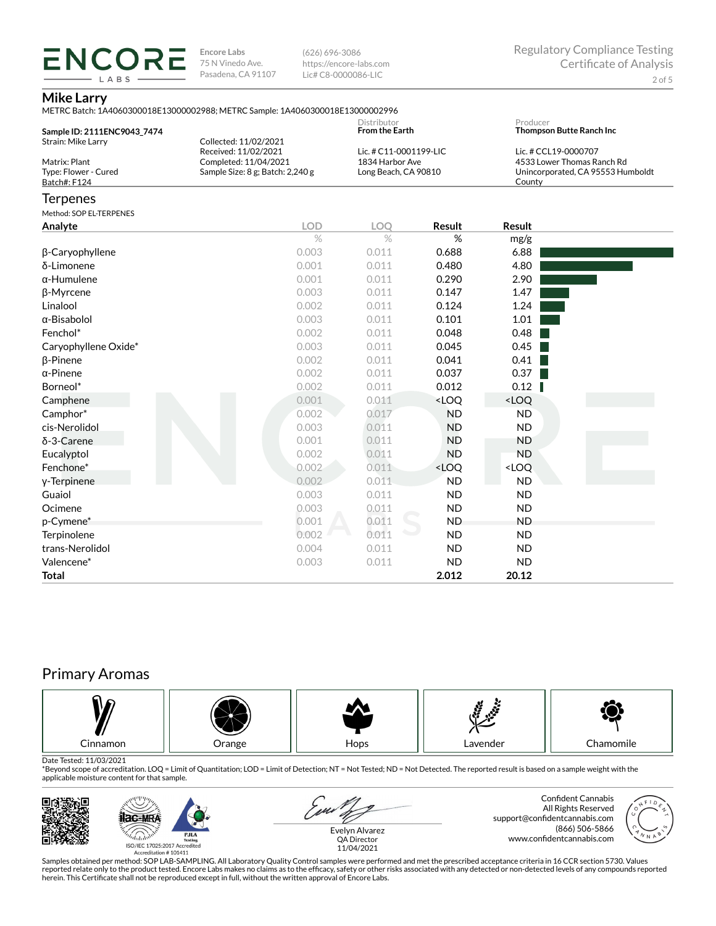(626) 696-3086 https://encore-labs.com Lic# C8-0000086-LIC

### **Mike Larry**

**ENCORE** LABS

| METRC Batch: 1A4060300018E13000002988; METRC Sample: 1A4060300018E13000002996 |  |
|-------------------------------------------------------------------------------|--|
| Distribution                                                                  |  |

|                             |                                  | <b>Distributor</b>       | Producer                          |
|-----------------------------|----------------------------------|--------------------------|-----------------------------------|
| Sample ID: 2111ENC9043 7474 |                                  | <b>From the Earth</b>    | Thompson Butte Ranch Inc          |
| Strain: Mike Larry          | Collected: 11/02/2021            |                          |                                   |
|                             | Received: 11/02/2021             | Lic. # $C11-0001199-LLC$ | Lic. # CCL19-0000707              |
| Matrix: Plant               | Completed: 11/04/2021            | 1834 Harbor Ave          | 4533 Lower Thomas Ranch Rd        |
| Type: Flower - Cured        | Sample Size: 8 g; Batch: 2,240 g | Long Beach, CA 90810     | Unincorporated, CA 95553 Humboldt |
| Batch#: F124                |                                  |                          | County                            |
|                             |                                  |                          |                                   |

### Terpenes

Method: SOP EL-TERPENES

| Method: SOP EL-TERPENES |            |               |                                                          |                              |  |
|-------------------------|------------|---------------|----------------------------------------------------------|------------------------------|--|
| Analyte                 | <b>LOD</b> | LOQ           | Result                                                   | Result                       |  |
|                         | $\%$       | $\frac{0}{2}$ | %                                                        | mg/g                         |  |
| β-Caryophyllene         | 0.003      | 0.011         | 0.688                                                    | 6.88                         |  |
| δ-Limonene              | 0.001      | 0.011         | 0.480                                                    | 4.80                         |  |
| $\alpha$ -Humulene      | 0.001      | 0.011         | 0.290                                                    | 2.90                         |  |
| β-Myrcene               | 0.003      | 0.011         | 0.147                                                    | 1.47                         |  |
| Linalool                | 0.002      | 0.011         | 0.124                                                    | 1.24                         |  |
| $\alpha$ -Bisabolol     | 0.003      | 0.011         | 0.101                                                    | 1.01                         |  |
| Fenchol*                | 0.002      | 0.011         | 0.048                                                    | 0.48                         |  |
| Caryophyllene Oxide*    | 0.003      | 0.011         | 0.045                                                    | 0.45                         |  |
| $\beta$ -Pinene         | 0.002      | 0.011         | 0.041                                                    | 0.41                         |  |
| $\alpha$ -Pinene        | 0.002      | 0.011         | 0.037                                                    | 0.37                         |  |
| Borneol*                | 0.002      | 0.011         | 0.012                                                    | 0.12                         |  |
| Camphene                | 0.001      | 0.011         | <loq< th=""><th><loq< th=""><th></th></loq<></th></loq<> | <loq< th=""><th></th></loq<> |  |
| Camphor*                | 0.002      | 0.017         | <b>ND</b>                                                | <b>ND</b>                    |  |
| cis-Nerolidol           | 0.003      | 0.011         | <b>ND</b>                                                | <b>ND</b>                    |  |
| $\delta$ -3-Carene      | 0.001      | 0.011         | <b>ND</b>                                                | <b>ND</b>                    |  |
| Eucalyptol              | 0.002      | 0.011         | <b>ND</b>                                                | <b>ND</b>                    |  |
| Fenchone*               | 0.002      | 0.011         | <loq< th=""><th><loq< th=""><th></th></loq<></th></loq<> | <loq< th=""><th></th></loq<> |  |
| y-Terpinene             | 0.002      | 0.011         | <b>ND</b>                                                | <b>ND</b>                    |  |
| Guaiol                  | 0.003      | 0.011         | <b>ND</b>                                                | <b>ND</b>                    |  |
| Ocimene                 | 0.003      | 0.011         | <b>ND</b>                                                | <b>ND</b>                    |  |
| p-Cymene*               | 0.001      | 0.011         | <b>ND</b>                                                | <b>ND</b>                    |  |
| Terpinolene             | 0.002      | 0.011         | <b>ND</b>                                                | <b>ND</b>                    |  |
| trans-Nerolidol         | 0.004      | 0.011         | <b>ND</b>                                                | <b>ND</b>                    |  |
| Valencene*              | 0.003      | 0.011         | <b>ND</b>                                                | <b>ND</b>                    |  |
| <b>Total</b>            |            |               | 2.012                                                    | 20.12                        |  |

# Primary Aromas



Date Tested: 11/03/2021<br>\*Beyond scope of accreditation. LOQ = Limit of Quantitation; LOD = Limit of Detection; NT = Not Tested; ND = Not Detected. The reported result is based on a sample weight with the applicable moisture content for that sample.



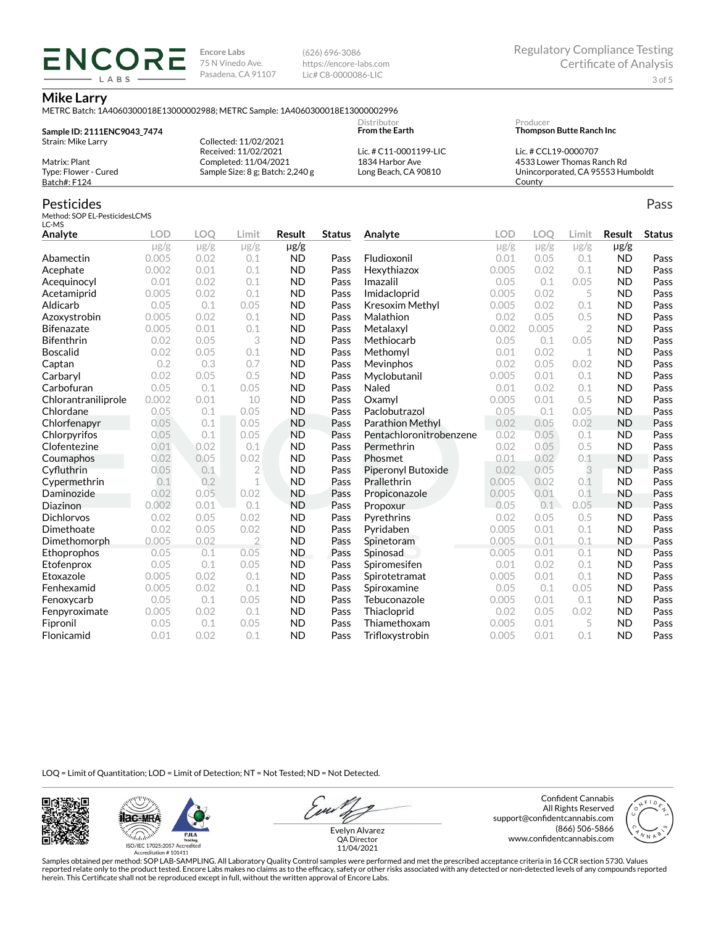(626) 696-3086 https://encore-labs.com Lic# C8-0000086-LIC

Producer

### **Mike Larry**

**ENCOR** LABS

METRC Batch: 1A4060300018E13000002988; METRC Sample: 1A4060300018E13000002996

| Sample ID: 2111ENC9043 7474 |                                      | <b>From the Earth</b>  | <b>Thompson Butte Ranch Inc.</b>  |
|-----------------------------|--------------------------------------|------------------------|-----------------------------------|
| Strain: Mike Larry          | Collected: 11/02/2021                |                        |                                   |
|                             | Received: 11/02/2021                 | Lic. # C11-0001199-LIC | Lic. # CCL19-0000707              |
| Matrix: Plant               | Completed: 11/04/2021                | 1834 Harbor Ave        | 4533 Lower Thomas Ranch Rd        |
| Type: Flower - Cured        | Sample Size: $8$ g; Batch: $2,240$ g | Long Beach, CA 90810   | Unincorporated, CA 95553 Humboldt |
| Batch#: F124                |                                      |                        | County                            |

Distributor

#### Pesticides

Method: SOP EL-PesticidesLCMS LC-MS

| Analyte             | <b>LOD</b> | <b>LOO</b> | Limit          | Result    | <b>Status</b> | Analyte                 | <b>LOD</b> | LOO       | Limit          | Result    | <b>Status</b> |
|---------------------|------------|------------|----------------|-----------|---------------|-------------------------|------------|-----------|----------------|-----------|---------------|
|                     | $\mu$ g/g  | $\mu$ g/g  | $\mu$ g/g      | $\mu$ g/g |               |                         | $\mu$ g/g  | $\mu$ g/g | $\mu$ g/g      | $\mu$ g/g |               |
| Abamectin           | 0.005      | 0.02       | 0.1            | <b>ND</b> | Pass          | Fludioxonil             | 0.01       | 0.05      | 0.1            | <b>ND</b> | Pass          |
| Acephate            | 0.002      | 0.01       | 0.1            | <b>ND</b> | Pass          | Hexythiazox             | 0.005      | 0.02      | 0.1            | <b>ND</b> | Pass          |
| Acequinocyl         | 0.01       | 0.02       | 0.1            | <b>ND</b> | Pass          | Imazalil                | 0.05       | 0.1       | 0.05           | <b>ND</b> | Pass          |
| Acetamiprid         | 0.005      | 0.02       | 0.1            | <b>ND</b> | Pass          | Imidacloprid            | 0.005      | 0.02      | 5              | <b>ND</b> | Pass          |
| Aldicarb            | 0.05       | 0.1        | 0.05           | <b>ND</b> | Pass          | Kresoxim Methyl         | 0.005      | 0.02      | 0.1            | <b>ND</b> | Pass          |
| Azoxystrobin        | 0.005      | 0.02       | 0.1            | <b>ND</b> | Pass          | Malathion               | 0.02       | 0.05      | 0.5            | <b>ND</b> | Pass          |
| <b>Bifenazate</b>   | 0.005      | 0.01       | 0.1            | <b>ND</b> | Pass          | Metalaxyl               | 0.002      | 0.005     | $\overline{2}$ | <b>ND</b> | Pass          |
| <b>Bifenthrin</b>   | 0.02       | 0.05       | 3              | <b>ND</b> | Pass          | Methiocarb              | 0.05       | 0.1       | 0.05           | <b>ND</b> | Pass          |
| <b>Boscalid</b>     | 0.02       | 0.05       | 0.1            | <b>ND</b> | Pass          | Methomyl                | 0.01       | 0.02      | 1              | <b>ND</b> | Pass          |
| Captan              | 0.2        | 0.3        | 0.7            | <b>ND</b> | Pass          | Mevinphos               | 0.02       | 0.05      | 0.02           | <b>ND</b> | Pass          |
| Carbaryl            | 0.02       | 0.05       | 0.5            | <b>ND</b> | Pass          | Myclobutanil            | 0.005      | 0.01      | 0.1            | <b>ND</b> | Pass          |
| Carbofuran          | 0.05       | 0.1        | 0.05           | <b>ND</b> | Pass          | Naled                   | 0.01       | 0.02      | 0.1            | <b>ND</b> | Pass          |
| Chlorantraniliprole | 0.002      | 0.01       | 10             | <b>ND</b> | Pass          | Oxamyl                  | 0.005      | 0.01      | 0.5            | <b>ND</b> | Pass          |
| Chlordane           | 0.05       | 0.1        | 0.05           | <b>ND</b> | Pass          | Paclobutrazol           | 0.05       | 0.1       | 0.05           | <b>ND</b> | Pass          |
| Chlorfenapyr        | 0.05       | 0.1        | 0.05           | <b>ND</b> | Pass          | Parathion Methyl        | 0.02       | 0.05      | 0.02           | <b>ND</b> | Pass          |
| Chlorpyrifos        | 0.05       | 0.1        | 0.05           | <b>ND</b> | Pass          | Pentachloronitrobenzene | 0.02       | 0.05      | 0.1            | <b>ND</b> | Pass          |
| Clofentezine        | 0.01       | 0.02       | 0.1            | <b>ND</b> | Pass          | Permethrin              | 0.02       | 0.05      | 0.5            | <b>ND</b> | Pass          |
| Coumaphos           | 0.02       | 0.05       | 0.02           | <b>ND</b> | Pass          | Phosmet                 | 0.01       | 0.02      | 0.1            | <b>ND</b> | Pass          |
| Cyfluthrin          | 0.05       | 0.1        | $\overline{2}$ | <b>ND</b> | Pass          | Piperonyl Butoxide      | 0.02       | 0.05      | 3              | <b>ND</b> | Pass          |
| Cypermethrin        | 0.1        | 0.2        | $\mathbf 1$    | <b>ND</b> | Pass          | Prallethrin             | 0.005      | 0.02      | 0.1            | <b>ND</b> | Pass          |
| Daminozide          | 0.02       | 0.05       | 0.02           | <b>ND</b> | Pass          | Propiconazole           | 0.005      | 0.01      | 0.1            | <b>ND</b> | Pass          |
| Diazinon            | 0.002      | 0.01       | 0.1            | <b>ND</b> | Pass          | Propoxur                | 0.05       | 0.1       | 0.05           | <b>ND</b> | Pass          |
| <b>Dichlorvos</b>   | 0.02       | 0.05       | 0.02           | <b>ND</b> | Pass          | Pyrethrins              | 0.02       | 0.05      | 0.5            | <b>ND</b> | Pass          |
| Dimethoate          | 0.02       | 0.05       | 0.02           | <b>ND</b> | Pass          | Pyridaben               | 0.005      | 0.01      | 0.1            | <b>ND</b> | Pass          |
| Dimethomorph        | 0.005      | 0.02       | $\overline{2}$ | <b>ND</b> | Pass          | Spinetoram              | 0.005      | 0.01      | 0.1            | <b>ND</b> | Pass          |
| Ethoprophos         | 0.05       | 0.1        | 0.05           | <b>ND</b> | Pass          | Spinosad                | 0.005      | 0.01      | 0.1            | <b>ND</b> | Pass          |
| Etofenprox          | 0.05       | 0.1        | 0.05           | <b>ND</b> | Pass          | Spiromesifen            | 0.01       | 0.02      | 0.1            | <b>ND</b> | Pass          |
| Etoxazole           | 0.005      | 0.02       | 0.1            | <b>ND</b> | Pass          | Spirotetramat           | 0.005      | 0.01      | 0.1            | <b>ND</b> | Pass          |
| Fenhexamid          | 0.005      | 0.02       | 0.1            | <b>ND</b> | Pass          | Spiroxamine             | 0.05       | 0.1       | 0.05           | <b>ND</b> | Pass          |
| Fenoxycarb          | 0.05       | 0.1        | 0.05           | <b>ND</b> | Pass          | Tebuconazole            | 0.005      | 0.01      | 0.1            | <b>ND</b> | Pass          |
| Fenpyroximate       | 0.005      | 0.02       | 0.1            | <b>ND</b> | Pass          | Thiacloprid             | 0.02       | 0.05      | 0.02           | <b>ND</b> | Pass          |
| Fipronil            | 0.05       | 0.1        | 0.05           | <b>ND</b> | Pass          | Thiamethoxam            | 0.005      | 0.01      | 5              | <b>ND</b> | Pass          |
| Flonicamid          | 0.01       | 0.02       | 0.1            | <b>ND</b> | Pass          | Trifloxystrobin         | 0.005      | 0.01      | 0.1            | <b>ND</b> | Pass          |

LOQ = Limit of Quantitation; LOD = Limit of Detection; NT = Not Tested; ND = Not Detected.





Evelyn Alvarez QA Director

Confident Cannabis All Rights Reserved support@confidentcannabis.com (866) 506-5866 www.confidentcannabis.com



11/04/2021

Samples obtained per method: SOP LAB-SAMPLING. All Laboratory Quality Control samples were performed and met the prescribed acceptance criteria in 16 CCR section 5730. Values reported relate only to the product tested. Encore Labs makes no claims as to the efficacy, safety or other risks associated with any detected or non-detected levels of any compounds reported<br>herein. This Certificate shall

3 of 5

Pass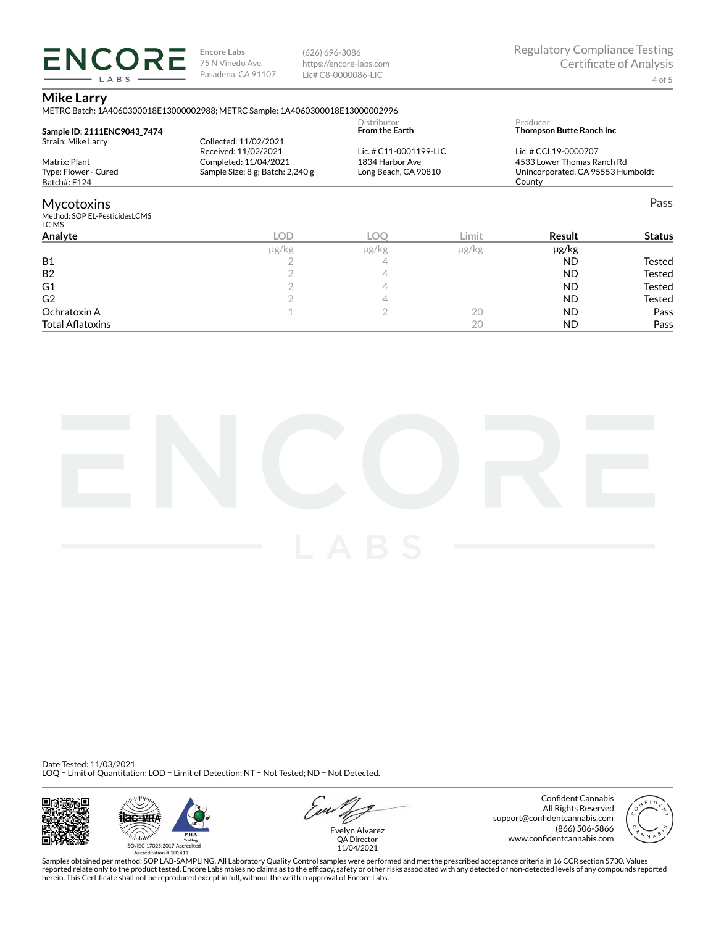(626) 696-3086 https://encore-labs.com Lic# C8-0000086-LIC

### **Mike Larry**

**ENCORE** LABS

| Sample ID: 2111ENC9043 7474            |                                                                        | Distributor<br><b>From the Earth</b>      |            | Producer<br>Thompson Butte Ranch Inc               |               |
|----------------------------------------|------------------------------------------------------------------------|-------------------------------------------|------------|----------------------------------------------------|---------------|
| Strain: Mike Larry<br>Matrix: Plant    | Collected: 11/02/2021<br>Received: 11/02/2021<br>Completed: 11/04/2021 | Lic. # C11-0001199-LIC<br>1834 Harbor Ave |            | Lic. # CCL19-0000707<br>4533 Lower Thomas Ranch Rd |               |
| Type: Flower - Cured<br>Batch#: F124   | Sample Size: 8 g; Batch: 2,240 g                                       | Long Beach, CA 90810                      |            | Unincorporated, CA 95553 Humboldt<br>County        |               |
| <b>Mycotoxins</b>                      |                                                                        |                                           |            |                                                    | Pass          |
| Method: SOP EL-PesticidesLCMS<br>LC-MS |                                                                        |                                           |            |                                                    |               |
| Analyte                                | LOD                                                                    | LOO                                       | Limit      | Result                                             | <b>Status</b> |
|                                        | $\mu$ g/kg                                                             | $\mu$ g/kg                                | $\mu$ g/kg | µg/kg                                              |               |
| <b>B1</b>                              |                                                                        | 4                                         |            | <b>ND</b>                                          | Tested        |

B2 and  $\begin{array}{ccc} & 2 & 4 & 4 \end{array}$  and  $\begin{array}{ccc} & 1 & 1 \end{array}$  and  $\begin{array}{ccc} & 2 & 4 \end{array}$  and  $\begin{array}{ccc} & & \end{array}$  and  $\begin{array}{ccc} & & \end{array}$  and  $\begin{array}{ccc} & & \end{array}$  are  $\begin{array}{ccc} & & \end{array}$  and  $\begin{array}{ccc} & & \end{array}$  and  $\begin{array}{ccc} & & \end{array}$  are  $\begin{array}{ccc} & &$ G1 2 4 ND Tested  $\begin{array}{cccccccccccccc} \textsf{G2} & & & & 2 & & & 4 & & & & & \textsf{ND} & & & \textsf{Tested} \end{array}$ Ochratoxin A  $\qquad \qquad \qquad 1$   $\qquad \qquad 2$   $\qquad \qquad 20$   $\qquad \qquad \textsf{ND}$  Pass Total AØatoxins 20 ND Pass

|  | <b>Common</b> | LABS |  |
|--|---------------|------|--|

Date Tested: 11/03/2021 LOQ = Limit of Quantitation; LOD = Limit of Detection; NT = Not Tested; ND = Not Detected.





Evelyn Alvarez

Confident Cannabis All Rights Reserved support@confidentcannabis.com (866) 506-5866 www.confidentcannabis.com



QA Director 11/04/2021